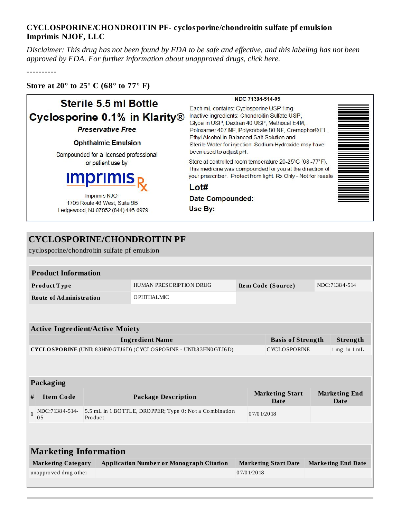## **CYCLOSPORINE/CHONDROITIN PF- cyclosporine/chondroitin sulfate pf emulsion Imprimis NJOF, LLC**

Disclaimer: This drug has not been found by FDA to be safe and effective, and this labeling has not been *approved by FDA. For further information about unapproved drugs, click here.*

----------

## **Store at 20° to 25° C (68° to 77° F)**

## NDC 71384-514-05 Sterile 5.5 ml Bottle Each mL contains: Cyclosporine USP 1mg Cyclosporine 0.1% in Klarity® Inactive ingredients: Chondroitin Sulfate USP, Glycerin USP, Dextran 40 USP, Methocel E4M, **Preservative Free** Poloxamer 407 NF, Polysorbate 80 NF, Cremophor® EL, Ethyl Alcohol in Balanced Salt Solution and **Ophthalmic Emulsion** Sterile Water for injection. Sodium Hydroxide may have been used to adjust pH. Compounded for a licensed professional Store at controlled room temperature 20-25°C (68-77°F). or patient use by This medicine was compounded for you at the direction of your prescriber. Protect from light. Rx Only - Not for resale JIT  $Lot#$ **Imprimis NJOF Date Compounded:** 1705 Route 46 West, Suite 6B Use By: Ledgewood, NJ 07852 (844) 446-6979

## **CYCLOSPORINE/CHONDROITIN PF**

cyclosporine/chondroitin sulfate pf emulsion

| <b>Product Information</b> |                         |                    |               |  |  |  |
|----------------------------|-------------------------|--------------------|---------------|--|--|--|
| Product Type               | HUMAN PRESCRIPTION DRUG | Item Code (Source) | NDC:71384-514 |  |  |  |
| Route of Administration    | O PHTHA LMIC.           |                    |               |  |  |  |

| <b>Active Ingredient/Active Moiety</b>                                                                                                                             |                          |                                        |  |  |  |
|--------------------------------------------------------------------------------------------------------------------------------------------------------------------|--------------------------|----------------------------------------|--|--|--|
| Ingredient Name                                                                                                                                                    | <b>Basis of Strength</b> | Strength                               |  |  |  |
| $\mathbf C\mathbf Y\mathbf C\mathbf L\mathbf O\mathbf S\mathbf P\mathbf O\mathbf R\mathbf I\mathbf N\mathbf E$ (UNII: 83HN0GTJ6D) (CYCLOSPORINE - UNII:83HN0GTJ6D) | <b>CYCLOSPORINE</b>      | $1 \,\mathrm{mg}$ in $1 \,\mathrm{mL}$ |  |  |  |

| <b>Packaging</b>             |                                  |                                                                   |                                |                              |  |  |  |
|------------------------------|----------------------------------|-------------------------------------------------------------------|--------------------------------|------------------------------|--|--|--|
| #                            | <b>Item Code</b>                 | <b>Package Description</b>                                        | <b>Marketing Start</b><br>Date | <b>Marketing End</b><br>Date |  |  |  |
|                              | NDC:71384-514-<br>0 <sub>5</sub> | 5.5 mL in 1 BOTTLE, DROPPER; Type 0: Not a Combination<br>Product | 07/01/2018                     |                              |  |  |  |
|                              |                                  |                                                                   |                                |                              |  |  |  |
|                              |                                  |                                                                   |                                |                              |  |  |  |
| <b>Marketing Information</b> |                                  |                                                                   |                                |                              |  |  |  |
|                              | <b>Marketing Category</b>        | <b>Application Number or Monograph Citation</b>                   | <b>Marketing Start Date</b>    | <b>Marketing End Date</b>    |  |  |  |
|                              | unapproved drug other            |                                                                   | 07/01/2018                     |                              |  |  |  |